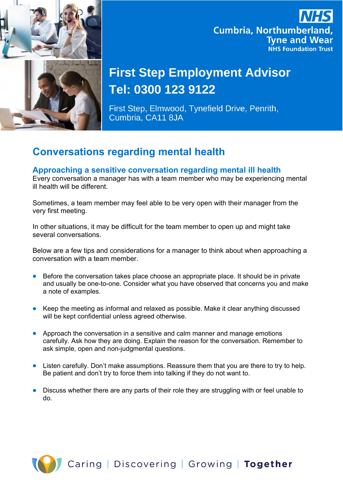

## **Cumbria, Northumberland, Tyne and Wear NHS Foundation Trust**

# **First Step Employment Advisor** Tel: 0300 123 9122

First Step, Elmwood, Tynefield Drive, Penrith, Cumbria, CA11 8JA

### **Conversations regarding mental health**

### **Approaching a sensitive conversation regarding mental ill health**

Every conversation a manager has with a team member who may be experiencing mental ill health will be different.

Sometimes, a team member may feel able to be very open with their manager from the very first meeting.

In other situations, it may be difficult for the team member to open up and might take several conversations.

Below are a few tips and considerations for a manager to think about when approaching a conversation with a team member.

- Before the conversation takes place choose an appropriate place. It should be in private and usually be one-to-one. Consider what you have observed that concerns you and make a note of examples.
- Keep the meeting as informal and relaxed as possible. Make it clear anything discussed will be kept confidential unless agreed otherwise.
- Approach the conversation in a sensitive and calm manner and manage emotions carefully. Ask how they are doing. Explain the reason for the conversation. Remember to ask simple, open and non-judgmental questions.
- Listen carefully. Don't make assumptions. Reassure them that you are there to try to help. Be patient and don't try to force them into talking if they do not want to.
- Discuss whether there are any parts of their role they are struggling with or feel unable to do.